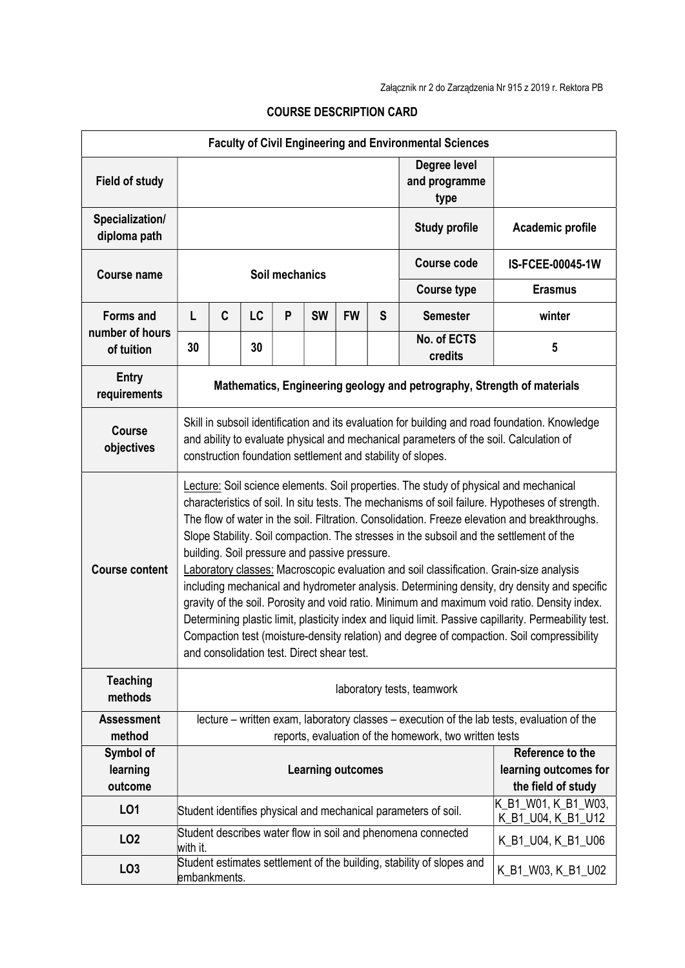| <b>Faculty of Civil Engineering and Environmental Sciences</b> |                                                                                                                                                                                                                                                         |                                                                                                                                                                                                                                                                                                                                                                                                                                                                                                                                                                                                                                                                                                                                                                                                                                                                                                                                                                                      |    |   |           |                                                                                                             |                                       |                                                                       |                    |  |
|----------------------------------------------------------------|---------------------------------------------------------------------------------------------------------------------------------------------------------------------------------------------------------------------------------------------------------|--------------------------------------------------------------------------------------------------------------------------------------------------------------------------------------------------------------------------------------------------------------------------------------------------------------------------------------------------------------------------------------------------------------------------------------------------------------------------------------------------------------------------------------------------------------------------------------------------------------------------------------------------------------------------------------------------------------------------------------------------------------------------------------------------------------------------------------------------------------------------------------------------------------------------------------------------------------------------------------|----|---|-----------|-------------------------------------------------------------------------------------------------------------|---------------------------------------|-----------------------------------------------------------------------|--------------------|--|
| <b>Field of study</b>                                          |                                                                                                                                                                                                                                                         |                                                                                                                                                                                                                                                                                                                                                                                                                                                                                                                                                                                                                                                                                                                                                                                                                                                                                                                                                                                      |    |   |           |                                                                                                             | Degree level<br>and programme<br>type |                                                                       |                    |  |
| Specialization/<br>diploma path                                |                                                                                                                                                                                                                                                         |                                                                                                                                                                                                                                                                                                                                                                                                                                                                                                                                                                                                                                                                                                                                                                                                                                                                                                                                                                                      |    |   |           |                                                                                                             |                                       | <b>Study profile</b>                                                  | Academic profile   |  |
| <b>Course name</b>                                             | Soil mechanics                                                                                                                                                                                                                                          |                                                                                                                                                                                                                                                                                                                                                                                                                                                                                                                                                                                                                                                                                                                                                                                                                                                                                                                                                                                      |    |   |           |                                                                                                             |                                       | <b>Course code</b>                                                    | IS-FCEE-00045-1W   |  |
|                                                                |                                                                                                                                                                                                                                                         |                                                                                                                                                                                                                                                                                                                                                                                                                                                                                                                                                                                                                                                                                                                                                                                                                                                                                                                                                                                      |    |   |           |                                                                                                             |                                       | <b>Course type</b>                                                    | <b>Erasmus</b>     |  |
| <b>Forms and</b>                                               | L                                                                                                                                                                                                                                                       | C                                                                                                                                                                                                                                                                                                                                                                                                                                                                                                                                                                                                                                                                                                                                                                                                                                                                                                                                                                                    | LC | P | <b>SW</b> | <b>FW</b>                                                                                                   | S                                     | <b>Semester</b>                                                       | winter             |  |
| number of hours<br>of tuition                                  | 30                                                                                                                                                                                                                                                      |                                                                                                                                                                                                                                                                                                                                                                                                                                                                                                                                                                                                                                                                                                                                                                                                                                                                                                                                                                                      | 30 |   |           |                                                                                                             |                                       | No. of ECTS<br>credits                                                | 5                  |  |
| <b>Entry</b><br>requirements                                   | Mathematics, Engineering geology and petrography, Strength of materials                                                                                                                                                                                 |                                                                                                                                                                                                                                                                                                                                                                                                                                                                                                                                                                                                                                                                                                                                                                                                                                                                                                                                                                                      |    |   |           |                                                                                                             |                                       |                                                                       |                    |  |
| <b>Course</b><br>objectives                                    | Skill in subsoil identification and its evaluation for building and road foundation. Knowledge<br>and ability to evaluate physical and mechanical parameters of the soil. Calculation of<br>construction foundation settlement and stability of slopes. |                                                                                                                                                                                                                                                                                                                                                                                                                                                                                                                                                                                                                                                                                                                                                                                                                                                                                                                                                                                      |    |   |           |                                                                                                             |                                       |                                                                       |                    |  |
| <b>Course content</b>                                          |                                                                                                                                                                                                                                                         | Lecture: Soil science elements. Soil properties. The study of physical and mechanical<br>characteristics of soil. In situ tests. The mechanisms of soil failure. Hypotheses of strength.<br>The flow of water in the soil. Filtration. Consolidation. Freeze elevation and breakthroughs.<br>Slope Stability. Soil compaction. The stresses in the subsoil and the settlement of the<br>building. Soil pressure and passive pressure.<br>Laboratory classes: Macroscopic evaluation and soil classification. Grain-size analysis<br>including mechanical and hydrometer analysis. Determining density, dry density and specific<br>gravity of the soil. Porosity and void ratio. Minimum and maximum void ratio. Density index.<br>Determining plastic limit, plasticity index and liquid limit. Passive capillarity. Permeability test.<br>Compaction test (moisture-density relation) and degree of compaction. Soil compressibility<br>and consolidation test. Direct shear test. |    |   |           |                                                                                                             |                                       |                                                                       |                    |  |
| <b>Teaching</b><br>methods                                     | laboratory tests, teamwork                                                                                                                                                                                                                              |                                                                                                                                                                                                                                                                                                                                                                                                                                                                                                                                                                                                                                                                                                                                                                                                                                                                                                                                                                                      |    |   |           |                                                                                                             |                                       |                                                                       |                    |  |
| <b>Assessment</b><br>method                                    | lecture – written exam, laboratory classes – execution of the lab tests, evaluation of the<br>reports, evaluation of the homework, two written tests                                                                                                    |                                                                                                                                                                                                                                                                                                                                                                                                                                                                                                                                                                                                                                                                                                                                                                                                                                                                                                                                                                                      |    |   |           |                                                                                                             |                                       |                                                                       |                    |  |
| Symbol of<br>learning<br>outcome                               | <b>Learning outcomes</b>                                                                                                                                                                                                                                |                                                                                                                                                                                                                                                                                                                                                                                                                                                                                                                                                                                                                                                                                                                                                                                                                                                                                                                                                                                      |    |   |           | Reference to the<br>learning outcomes for<br>the field of study                                             |                                       |                                                                       |                    |  |
| LO1                                                            |                                                                                                                                                                                                                                                         |                                                                                                                                                                                                                                                                                                                                                                                                                                                                                                                                                                                                                                                                                                                                                                                                                                                                                                                                                                                      |    |   |           | K B1_W01, K_B1_W03,<br>Student identifies physical and mechanical parameters of soil.<br>K_B1_U04, K_B1_U12 |                                       |                                                                       |                    |  |
| LO <sub>2</sub>                                                | with it.                                                                                                                                                                                                                                                |                                                                                                                                                                                                                                                                                                                                                                                                                                                                                                                                                                                                                                                                                                                                                                                                                                                                                                                                                                                      |    |   |           |                                                                                                             |                                       | Student describes water flow in soil and phenomena connected          | K_B1_U04, K_B1_U06 |  |
| LO <sub>3</sub>                                                | embankments.                                                                                                                                                                                                                                            |                                                                                                                                                                                                                                                                                                                                                                                                                                                                                                                                                                                                                                                                                                                                                                                                                                                                                                                                                                                      |    |   |           |                                                                                                             |                                       | Student estimates settlement of the building, stability of slopes and | K_B1_W03, K_B1_U02 |  |

## COURSE DESCRIPTION CARD